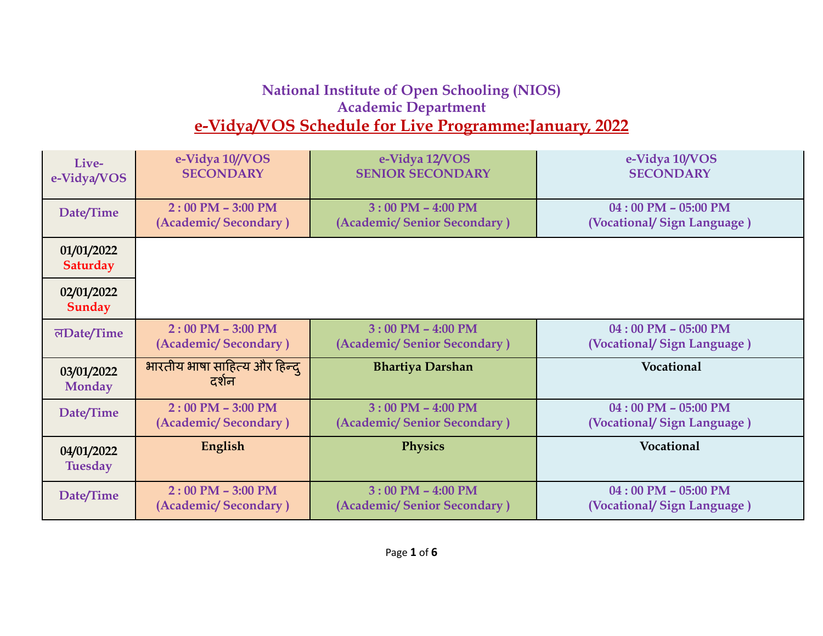## **National Institute of Open Schooling (NIOS) Academic Department e-Vidya/VOS Schedule for Live Programme:January, 2022**

| Live-                         | e-Vidya 10//VOS                        | e-Vidya 12/VOS              | e-Vidya 10/VOS             |
|-------------------------------|----------------------------------------|-----------------------------|----------------------------|
| e-Vidya/VOS                   | <b>SECONDARY</b>                       | <b>SENIOR SECONDARY</b>     | <b>SECONDARY</b>           |
| Date/Time                     | $2:00$ PM $-$ 3:00 PM                  | $3:00$ PM $-$ 4:00 PM       | $04:00$ PM $- 05:00$ PM    |
|                               | (Academic/Secondary)                   | (Academic/Senior Secondary) | (Vocational/Sign Language) |
| 01/01/2022<br><b>Saturday</b> |                                        |                             |                            |
| 02/01/2022<br><b>Sunday</b>   |                                        |                             |                            |
| लDate/Time                    | $2:00$ PM $-$ 3:00 PM                  | $3:00$ PM $-$ 4:00 PM       | $04:00$ PM $- 05:00$ PM    |
|                               | (Academic/Secondary)                   | (Academic/Senior Secondary) | (Vocational/Sign Language) |
| 03/01/2022<br><b>Monday</b>   | भारतीय भाषा साहित्य और हिन्द्<br>दर्शन | <b>Bhartiya Darshan</b>     | Vocational                 |
| Date/Time                     | $2:00$ PM $-$ 3:00 PM                  | $3:00$ PM $-$ 4:00 PM       | $04:00$ PM $- 05:00$ PM    |
|                               | (Academic/Secondary)                   | (Academic/Senior Secondary) | (Vocational/Sign Language) |
| 04/01/2022<br><b>Tuesday</b>  | English                                | <b>Physics</b>              | Vocational                 |
| Date/Time                     | $2:00$ PM $-$ 3:00 PM                  | $3:00$ PM $-$ 4:00 PM       | $04:00$ PM $- 05:00$ PM    |
|                               | (Academic/Secondary)                   | (Academic/Senior Secondary) | (Vocational/Sign Language) |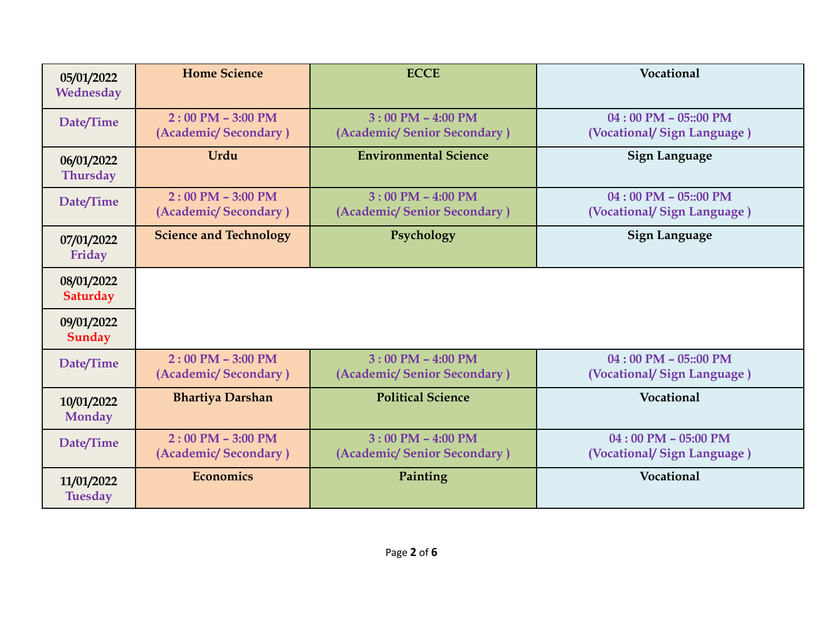| 05/01/2022<br>Wednesday       | <b>Home Science</b>                           | <b>ECCE</b>                                          | Vocational                                             |
|-------------------------------|-----------------------------------------------|------------------------------------------------------|--------------------------------------------------------|
| Date/Time                     | $2:00$ PM $-$ 3:00 PM<br>(Academic/Secondary) | $3:00$ PM $-$ 4:00 PM<br>(Academic/Senior Secondary) | $04:00$ PM $- 05::00$ PM<br>(Vocational/Sign Language) |
| 06/01/2022<br><b>Thursday</b> | Urdu                                          | <b>Environmental Science</b>                         | <b>Sign Language</b>                                   |
| Date/Time                     | $2:00$ PM $-$ 3:00 PM<br>(Academic/Secondary) | $3:00$ PM $-$ 4:00 PM<br>(Academic/Senior Secondary) | $04:00$ PM $- 05::00$ PM<br>(Vocational/Sign Language) |
| 07/01/2022<br>Friday          | <b>Science and Technology</b>                 | Psychology                                           | <b>Sign Language</b>                                   |
| 08/01/2022<br><b>Saturday</b> |                                               |                                                      |                                                        |
| 09/01/2022<br>Sunday          |                                               |                                                      |                                                        |
| Date/Time                     | $2:00$ PM $-$ 3:00 PM<br>(Academic/Secondary) | $3:00$ PM $-$ 4:00 PM<br>(Academic/Senior Secondary) | $04:00$ PM $- 05::00$ PM<br>(Vocational/Sign Language) |
| 10/01/2022<br><b>Monday</b>   | <b>Bhartiya Darshan</b>                       | <b>Political Science</b>                             | Vocational                                             |
| Date/Time                     | $2:00$ PM $-$ 3:00 PM<br>(Academic/Secondary) | $3:00$ PM $-$ 4:00 PM<br>(Academic/Senior Secondary) | $04:00$ PM $- 05:00$ PM<br>(Vocational/Sign Language)  |
| 11/01/2022<br><b>Tuesday</b>  | <b>Economics</b>                              | Painting                                             | Vocational                                             |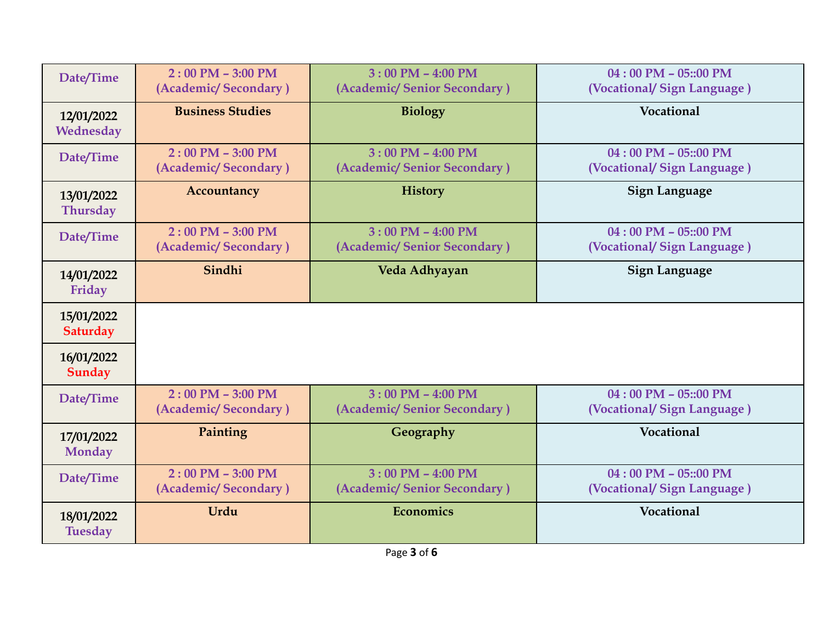| Date/Time                     | $2:00$ PM $-$ 3:00 PM<br>(Academic/Secondary) | $3:00$ PM $-$ 4:00 PM<br>(Academic/Senior Secondary) | $04:00$ PM $- 05::00$ PM<br>(Vocational/Sign Language) |
|-------------------------------|-----------------------------------------------|------------------------------------------------------|--------------------------------------------------------|
| 12/01/2022<br>Wednesday       | <b>Business Studies</b>                       | <b>Biology</b>                                       | Vocational                                             |
| Date/Time                     | $2:00$ PM $-$ 3:00 PM<br>(Academic/Secondary) | $3:00$ PM $-$ 4:00 PM<br>(Academic/Senior Secondary) | $04:00$ PM $- 05::00$ PM<br>(Vocational/Sign Language) |
| 13/01/2022<br><b>Thursday</b> | Accountancy                                   | <b>History</b>                                       | <b>Sign Language</b>                                   |
| Date/Time                     | $2:00$ PM $-$ 3:00 PM<br>(Academic/Secondary) | $3:00$ PM $-$ 4:00 PM<br>(Academic/Senior Secondary) | $04:00$ PM $- 05::00$ PM<br>(Vocational/Sign Language) |
| 14/01/2022<br>Friday          | Sindhi                                        | Veda Adhyayan                                        | <b>Sign Language</b>                                   |
| 15/01/2022<br><b>Saturday</b> |                                               |                                                      |                                                        |
| 16/01/2022<br><b>Sunday</b>   |                                               |                                                      |                                                        |
| Date/Time                     | $2:00$ PM $-$ 3:00 PM<br>(Academic/Secondary) | $3:00$ PM $-$ 4:00 PM<br>(Academic/Senior Secondary) | $04:00$ PM $- 05::00$ PM<br>(Vocational/Sign Language) |
| 17/01/2022<br><b>Monday</b>   | Painting                                      | Geography                                            | Vocational                                             |
| Date/Time                     | $2:00$ PM $-$ 3:00 PM<br>(Academic/Secondary) | $3:00$ PM $-$ 4:00 PM<br>(Academic/Senior Secondary) | $04:00$ PM - 05::00 PM<br>(Vocational/Sign Language)   |
| 18/01/2022                    | Urdu                                          | Economics                                            | Vocational                                             |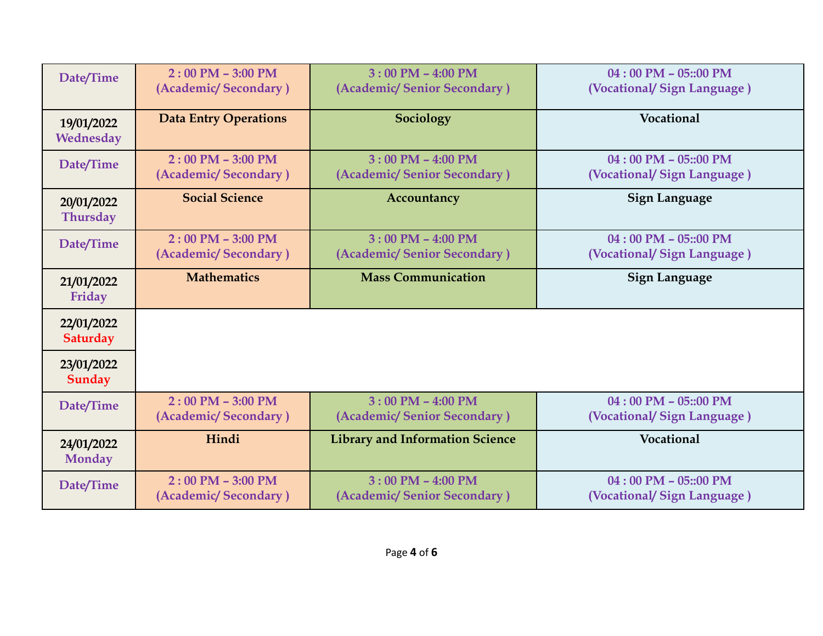| Date/Time                     | $2:00$ PM - 3:00 PM<br>(Academic/Secondary)   | $3:00$ PM $-$ 4:00 PM<br>(Academic/Senior Secondary) | $04:00$ PM $- 05::00$ PM<br>(Vocational/Sign Language) |
|-------------------------------|-----------------------------------------------|------------------------------------------------------|--------------------------------------------------------|
| 19/01/2022<br>Wednesday       | <b>Data Entry Operations</b>                  | Sociology                                            | Vocational                                             |
| Date/Time                     | $2:00$ PM $-$ 3:00 PM<br>(Academic/Secondary) | $3:00$ PM $-$ 4:00 PM<br>(Academic/Senior Secondary) | $04:00$ PM $- 05::00$ PM<br>(Vocational/Sign Language) |
| 20/01/2022<br><b>Thursday</b> | <b>Social Science</b>                         | Accountancy                                          | <b>Sign Language</b>                                   |
| Date/Time                     | $2:00$ PM $-$ 3:00 PM<br>(Academic/Secondary) | $3:00$ PM $-$ 4:00 PM<br>(Academic/Senior Secondary) | $04:00$ PM $- 05::00$ PM<br>(Vocational/Sign Language) |
| 21/01/2022<br>Friday          | <b>Mathematics</b>                            | <b>Mass Communication</b>                            | <b>Sign Language</b>                                   |
| 22/01/2022<br><b>Saturday</b> |                                               |                                                      |                                                        |
| 23/01/2022<br>Sunday          |                                               |                                                      |                                                        |
| Date/Time                     | $2:00$ PM $-$ 3:00 PM<br>(Academic/Secondary) | $3:00$ PM - 4:00 PM<br>(Academic/Senior Secondary)   | $04:00$ PM $- 05::00$ PM<br>(Vocational/Sign Language) |
| 24/01/2022<br><b>Monday</b>   | Hindi                                         | <b>Library and Information Science</b>               | Vocational                                             |
| Date/Time                     | $2:00$ PM $-$ 3:00 PM<br>(Academic/Secondary) | $3:00$ PM $-$ 4:00 PM<br>(Academic/Senior Secondary) | $04:00$ PM $- 05::00$ PM<br>(Vocational/Sign Language) |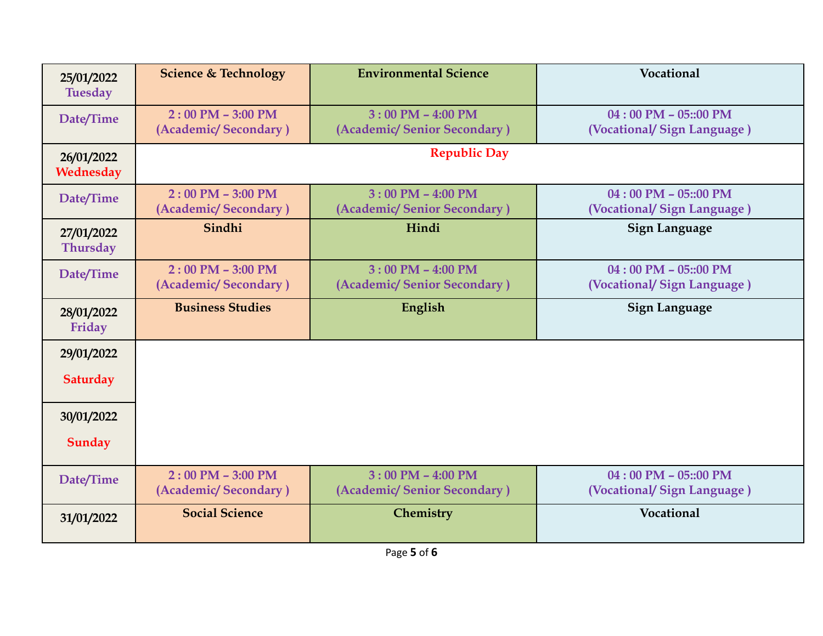| 25/01/2022<br><b>Tuesday</b>  | <b>Science &amp; Technology</b>               | <b>Environmental Science</b>                         | Vocational                                             |
|-------------------------------|-----------------------------------------------|------------------------------------------------------|--------------------------------------------------------|
| Date/Time                     | $2:00$ PM - 3:00 PM<br>(Academic/Secondary)   | $3:00$ PM $-$ 4:00 PM<br>(Academic/Senior Secondary) | $04:00$ PM $- 05::00$ PM<br>(Vocational/Sign Language) |
| 26/01/2022<br>Wednesday       |                                               | <b>Republic Day</b>                                  |                                                        |
| Date/Time                     | $2:00$ PM - 3:00 PM<br>(Academic/Secondary)   | $3:00$ PM $-$ 4:00 PM<br>(Academic/Senior Secondary) | $04:00$ PM $- 05::00$ PM<br>(Vocational/Sign Language) |
| 27/01/2022<br><b>Thursday</b> | Sindhi                                        | Hindi                                                | <b>Sign Language</b>                                   |
| Date/Time                     | $2:00$ PM - 3:00 PM<br>(Academic/Secondary)   | $3:00$ PM $-$ 4:00 PM<br>(Academic/Senior Secondary) | $04:00$ PM $- 05::00$ PM<br>(Vocational/Sign Language) |
| 28/01/2022<br>Friday          | <b>Business Studies</b>                       | English                                              | <b>Sign Language</b>                                   |
| 29/01/2022                    |                                               |                                                      |                                                        |
| <b>Saturday</b>               |                                               |                                                      |                                                        |
| 30/01/2022                    |                                               |                                                      |                                                        |
| Sunday                        |                                               |                                                      |                                                        |
| Date/Time                     | $2:00$ PM $-$ 3:00 PM<br>(Academic/Secondary) | $3:00$ PM $-$ 4:00 PM<br>(Academic/Senior Secondary) | $04:00$ PM - 05::00 PM<br>(Vocational/Sign Language)   |
| 31/01/2022                    | <b>Social Science</b>                         | Chemistry                                            | Vocational                                             |